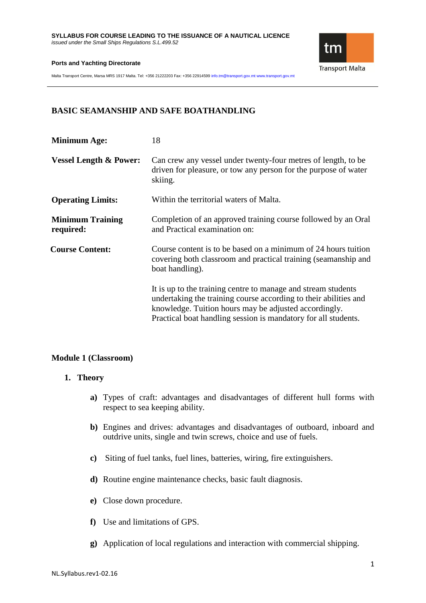

Malta Transport Centre, Marsa MRS 1917 Malta. Tel: +356 21222203 Fax: +356 22914599 info.tm@transport.gov.mt www.transport.gov.mt

# **BASIC SEAMANSHIP AND SAFE BOATHANDLING**

| <b>Minimum Age:</b>                  | 18                                                                                                                                                                                                                                                           |
|--------------------------------------|--------------------------------------------------------------------------------------------------------------------------------------------------------------------------------------------------------------------------------------------------------------|
| <b>Vessel Length &amp; Power:</b>    | Can crew any vessel under twenty-four metres of length, to be<br>driven for pleasure, or tow any person for the purpose of water<br>skiing.                                                                                                                  |
| <b>Operating Limits:</b>             | Within the territorial waters of Malta.                                                                                                                                                                                                                      |
| <b>Minimum Training</b><br>required: | Completion of an approved training course followed by an Oral<br>and Practical examination on:                                                                                                                                                               |
| <b>Course Content:</b>               | Course content is to be based on a minimum of 24 hours tuition<br>covering both classroom and practical training (seamanship and<br>boat handling).                                                                                                          |
|                                      | It is up to the training centre to manage and stream students<br>undertaking the training course according to their abilities and<br>knowledge. Tuition hours may be adjusted accordingly.<br>Practical boat handling session is mandatory for all students. |

## **Module 1 (Classroom)**

## **1. Theory**

- **a)** Types of craft: advantages and disadvantages of different hull forms with respect to sea keeping ability.
- **b)** Engines and drives: advantages and disadvantages of outboard, inboard and outdrive units, single and twin screws, choice and use of fuels.
- **c)** Siting of fuel tanks, fuel lines, batteries, wiring, fire extinguishers.
- **d)** Routine engine maintenance checks, basic fault diagnosis.
- **e)** Close down procedure.
- **f)** Use and limitations of GPS.
- **g)** Application of local regulations and interaction with commercial shipping.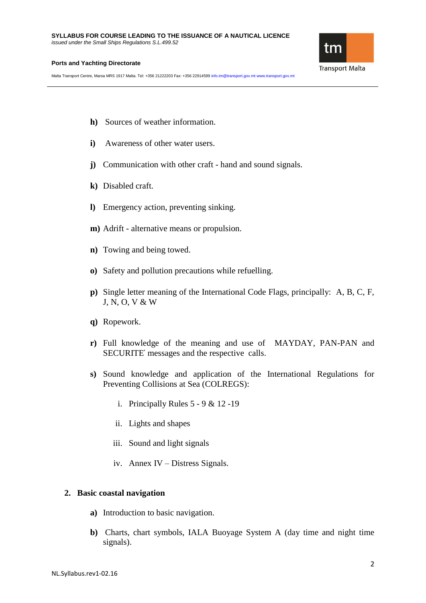

Malta Transport Centre, Marsa MRS 1917 Malta. Tel: +356 21222203 Fax: +356 22914599 info.tm@transport.gov.mt www.transport.gov.mt

- **h)** Sources of weather information.
- **i**) Awareness of other water users.
- **j)** Communication with other craft hand and sound signals.
- **k)** Disabled craft.
- **l)** Emergency action, preventing sinking.
- **m)** Adrift alternative means or propulsion.
- **n)** Towing and being towed.
- **o)** Safety and pollution precautions while refuelling.
- **p)** Single letter meaning of the International Code Flags, principally: A, B, C, F, J, N, O, V & W
- **q)** Ropework.
- **r)** Full knowledge of the meaning and use of MAYDAY, PAN-PAN and SECURITE՛ messages and the respective calls.
- **s)** Sound knowledge and application of the International Regulations for Preventing Collisions at Sea (COLREGS):
	- i. Principally Rules  $5 9 & 12 19$
	- ii. Lights and shapes
	- iii. Sound and light signals
	- iv. Annex IV Distress Signals.

### **2. Basic coastal navigation**

- **a)** Introduction to basic navigation.
- **b)** Charts, chart symbols, IALA Buoyage System A (day time and night time signals).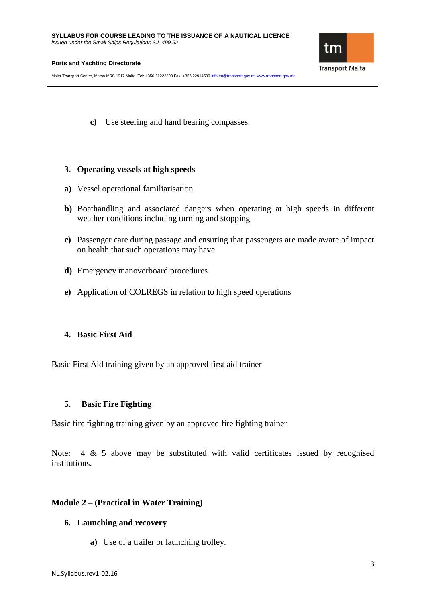Malta Transport Centre, Marsa MRS 1917 Malta. Tel: +356 21222203 Fax: +356 22914599 info.tm@transport.gov.mt www.transport.gov.mt

**c)** Use steering and hand bearing compasses.

### **3. Operating vessels at high speeds**

- **a)** Vessel operational familiarisation
- **b)** Boathandling and associated dangers when operating at high speeds in different weather conditions including turning and stopping
- **c)** Passenger care during passage and ensuring that passengers are made aware of impact on health that such operations may have
- **d)** Emergency manoverboard procedures
- **e)** Application of COLREGS in relation to high speed operations

## **4. Basic First Aid**

Basic First Aid training given by an approved first aid trainer

## **5. Basic Fire Fighting**

Basic fire fighting training given by an approved fire fighting trainer

Note: 4 & 5 above may be substituted with valid certificates issued by recognised institutions.

## **Module 2 – (Practical in Water Training)**

### **6. Launching and recovery**

**a)** Use of a trailer or launching trolley.

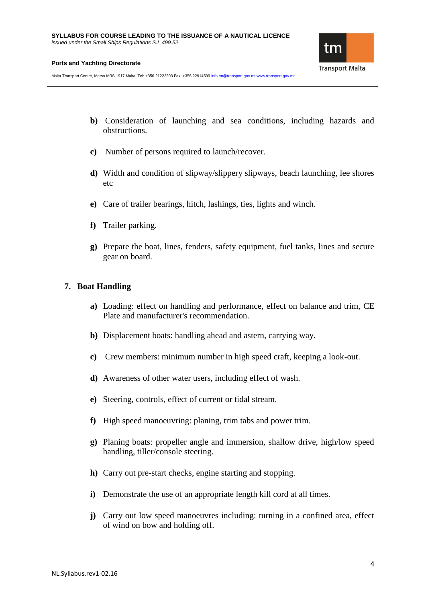

Malta Transport Centre, Marsa MRS 1917 Malta. Tel: +356 21222203 Fax: +356 22914599 info.tm@transport.gov.mt www.transport.gov.mt

- **b)** Consideration of launching and sea conditions, including hazards and obstructions.
- **c)** Number of persons required to launch/recover.
- **d)** Width and condition of slipway/slippery slipways, beach launching, lee shores etc
- **e)** Care of trailer bearings, hitch, lashings, ties, lights and winch.
- **f)** Trailer parking.
- **g)** Prepare the boat, lines, fenders, safety equipment, fuel tanks, lines and secure gear on board.

## **7. Boat Handling**

- **a)** Loading: effect on handling and performance, effect on balance and trim, CE Plate and manufacturer's recommendation.
- **b)** Displacement boats: handling ahead and astern, carrying way.
- **c)** Crew members: minimum number in high speed craft, keeping a look-out.
- **d)** Awareness of other water users, including effect of wash.
- **e)** Steering, controls, effect of current or tidal stream.
- **f)** High speed manoeuvring: planing, trim tabs and power trim.
- **g)** Planing boats: propeller angle and immersion, shallow drive, high/low speed handling, tiller/console steering.
- **h)** Carry out pre-start checks, engine starting and stopping.
- **i)** Demonstrate the use of an appropriate length kill cord at all times.
- **j)** Carry out low speed manoeuvres including: turning in a confined area, effect of wind on bow and holding off.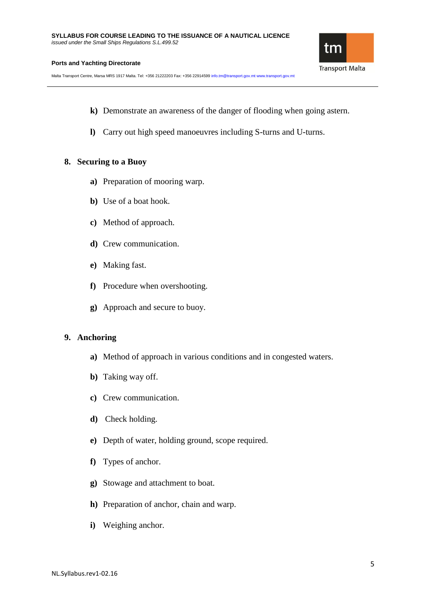Malta Transport Centre, Marsa MRS 1917 Malta. Tel: +356 21222203 Fax: +356 22914599 info.tm@transport.gov.mt www.transport.gov.mt

- **k)** Demonstrate an awareness of the danger of flooding when going astern.
- **l)** Carry out high speed manoeuvres including S-turns and U-turns.

### **8. Securing to a Buoy**

- **a)** Preparation of mooring warp.
- **b)** Use of a boat hook.
- **c)** Method of approach.
- **d)** Crew communication.
- **e)** Making fast.
- **f)** Procedure when overshooting.
- **g)** Approach and secure to buoy.

### **9. Anchoring**

- **a)** Method of approach in various conditions and in congested waters.
- **b)** Taking way off.
- **c)** Crew communication.
- **d)** Check holding.
- **e)** Depth of water, holding ground, scope required.
- **f)** Types of anchor.
- **g)** Stowage and attachment to boat.
- **h)** Preparation of anchor, chain and warp.
- **i)** Weighing anchor.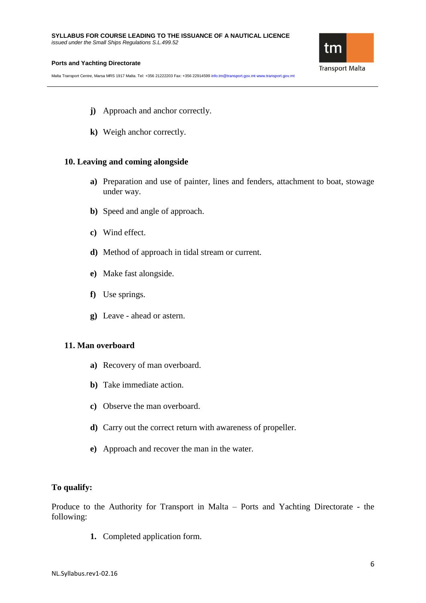Malta Transport Centre, Marsa MRS 1917 Malta. Tel: +356 21222203 Fax: +356 22914599 info.tm@transport.gov.mt www.transport.gov.mt

tm **Transport Malta** 

- **j)** Approach and anchor correctly.
- **k)** Weigh anchor correctly.

### **10. Leaving and coming alongside**

- **a)** Preparation and use of painter, lines and fenders, attachment to boat, stowage under way.
- **b)** Speed and angle of approach.
- **c)** Wind effect.
- **d)** Method of approach in tidal stream or current.
- **e)** Make fast alongside.
- **f)** Use springs.
- **g)** Leave ahead or astern.

### **11. Man overboard**

- **a)** Recovery of man overboard.
- **b)** Take immediate action.
- **c)** Observe the man overboard.
- **d)** Carry out the correct return with awareness of propeller.
- **e)** Approach and recover the man in the water.

## **To qualify:**

Produce to the Authority for Transport in Malta – Ports and Yachting Directorate - the following:

**1.** Completed application form.